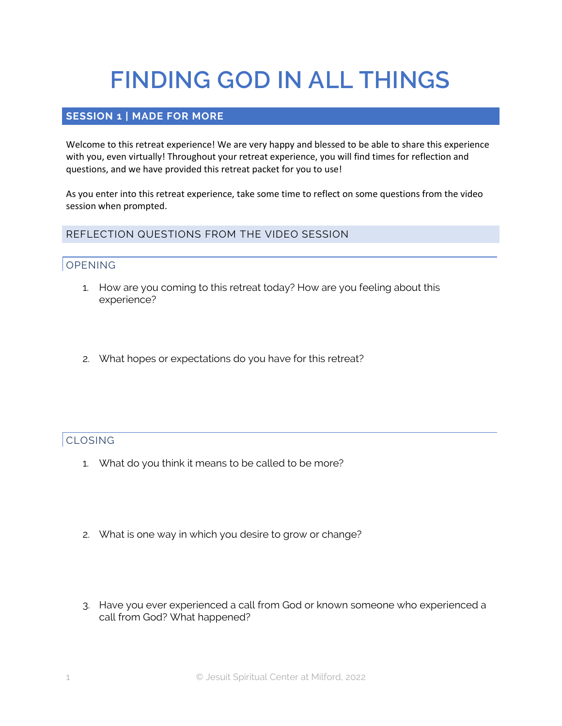# **FINDING GOD IN ALL THINGS**

#### **SESSION 1 | MADE FOR MORE**

Welcome to this retreat experience! We are very happy and blessed to be able to share this experience with you, even virtually! Throughout your retreat experience, you will find times for reflection and questions, and we have provided this retreat packet for you to use!

As you enter into this retreat experience, take some time to reflect on some questions from the video session when prompted.

REFLECTION QUESTIONS FROM THE VIDEO SESSION

#### OPENING

- 1. How are you coming to this retreat today? How are you feeling about this experience?
- 2. What hopes or expectations do you have for this retreat?

#### CLOSING

- 1. What do you think it means to be called to be more?
- 2. What is one way in which you desire to grow or change?
- 3. Have you ever experienced a call from God or known someone who experienced a call from God? What happened?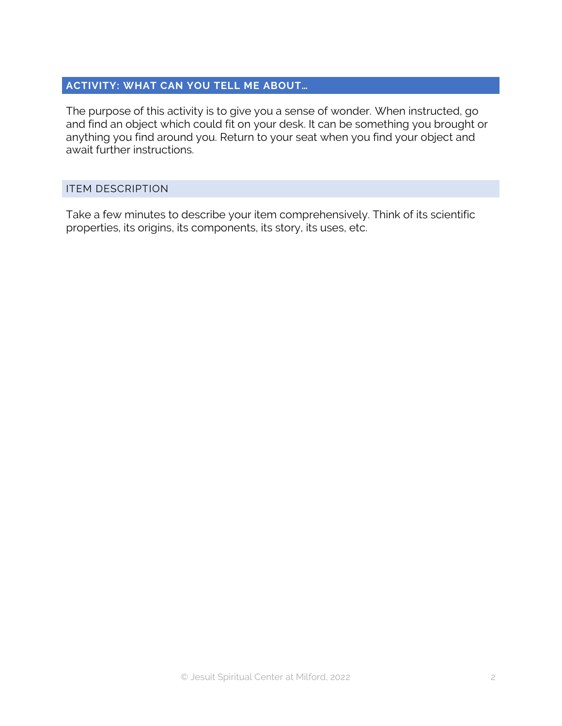#### **ACTIVITY: WHAT CAN YOU TELL ME ABOUT…**

The purpose of this activity is to give you a sense of wonder. When instructed, go and find an object which could fit on your desk. It can be something you brought or anything you find around you. Return to your seat when you find your object and await further instructions.

#### ITEM DESCRIPTION

Take a few minutes to describe your item comprehensively. Think of its scientific properties, its origins, its components, its story, its uses, etc.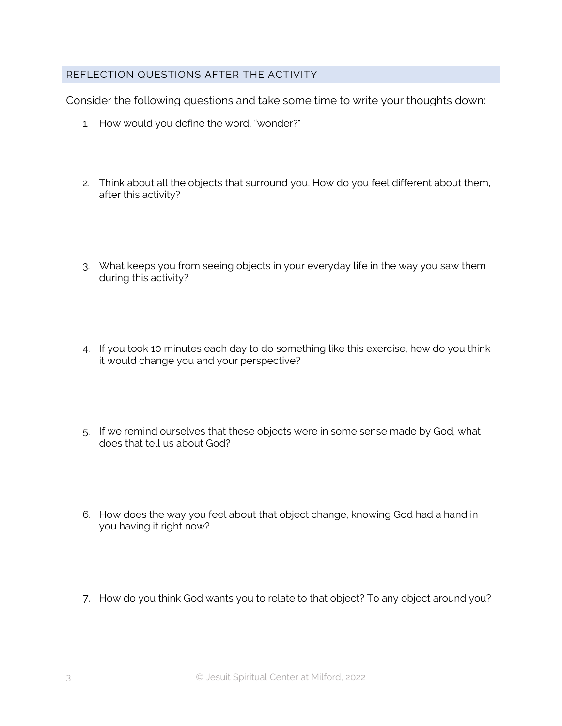#### REFLECTION QUESTIONS AFTER THE ACTIVITY

Consider the following questions and take some time to write your thoughts down:

- 1. How would you define the word, "wonder?"
- 2. Think about all the objects that surround you. How do you feel different about them, after this activity?
- 3. What keeps you from seeing objects in your everyday life in the way you saw them during this activity?
- 4. If you took 10 minutes each day to do something like this exercise, how do you think it would change you and your perspective?
- 5. If we remind ourselves that these objects were in some sense made by God, what does that tell us about God?
- 6. How does the way you feel about that object change, knowing God had a hand in you having it right now?
- 7. How do you think God wants you to relate to that object? To any object around you?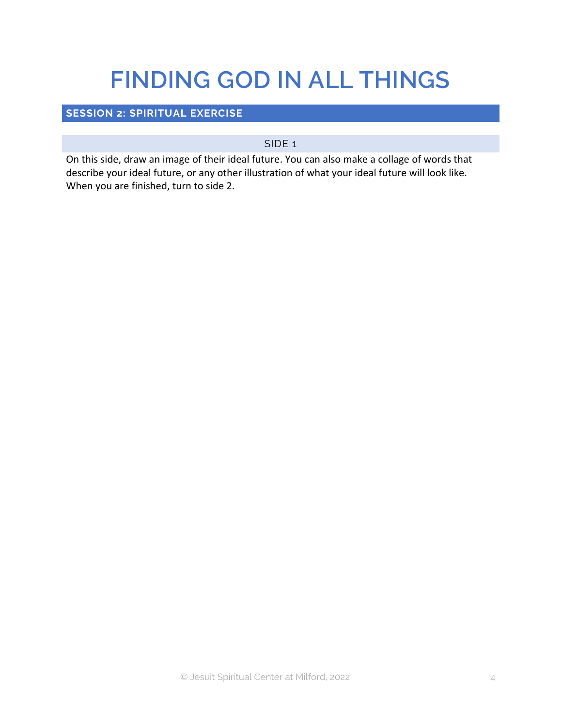## **FINDING GOD IN ALL THINGS**

### **SESSION 2: SPIRITUAL EXERCISE**

#### SIDE 1

On this side, draw an image of their ideal future. You can also make a collage of words that describe your ideal future, or any other illustration of what your ideal future will look like. When you are finished, turn to side 2.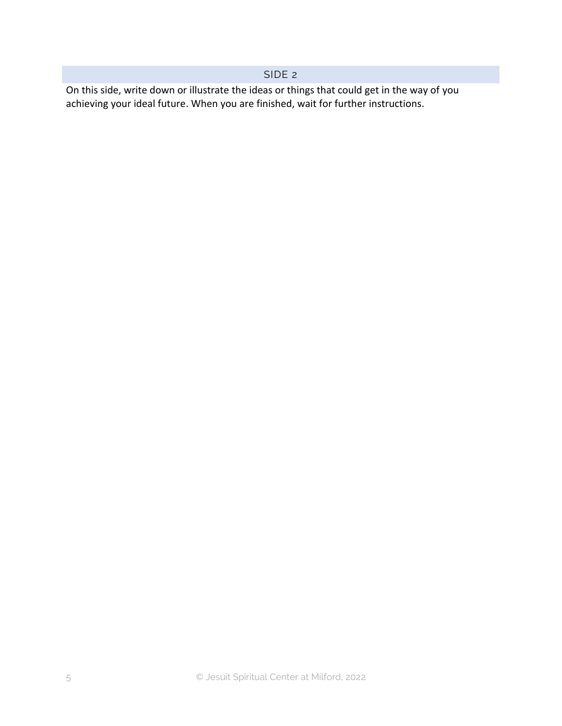#### SIDE 2

On this side, write down or illustrate the ideas or things that could get in the way of you achieving your ideal future. When you are finished, wait for further instructions.